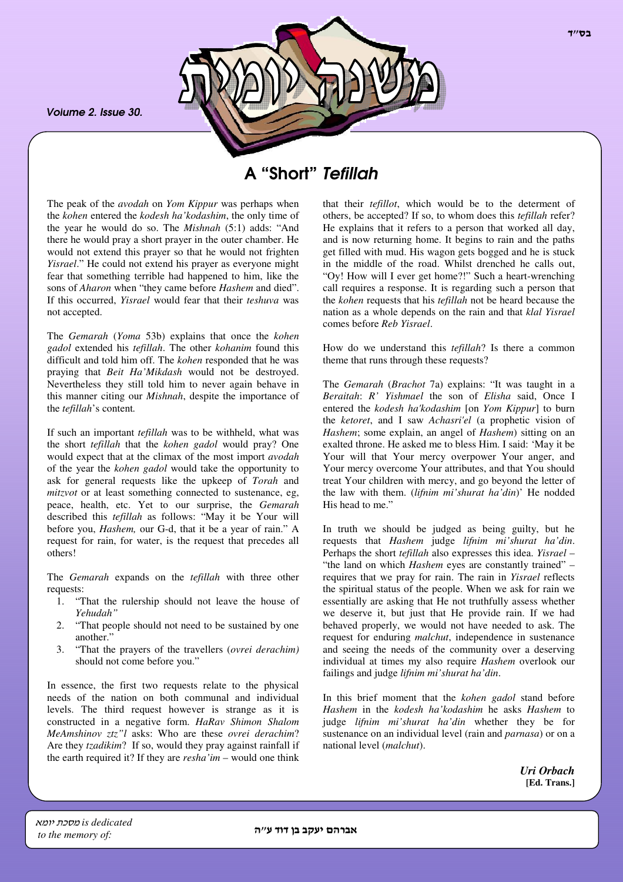*Volume 2. Issue 30.*



# A "Short" *Tefillah*

The peak of the *avodah* on *Yom Kippur* was perhaps when the *kohen* entered the *kodesh ha'kodashim*, the only time of the year he would do so. The *Mishnah* (5:1) adds: "And there he would pray a short prayer in the outer chamber. He would not extend this prayer so that he would not frighten *Yisrael*." He could not extend his prayer as everyone might fear that something terrible had happened to him, like the sons of *Aharon* when "they came before *Hashem* and died". If this occurred, *Yisrael* would fear that their *teshuva* was not accepted.

The *Gemarah* (*Yoma* 53b) explains that once the *kohen gadol* extended his *tefillah*. The other *kohanim* found this difficult and told him off. The *kohen* responded that he was praying that *Beit Ha'Mikdash* would not be destroyed. Nevertheless they still told him to never again behave in this manner citing our *Mishnah*, despite the importance of the *tefillah*'s content*.*

If such an important *tefillah* was to be withheld, what was the short *tefillah* that the *kohen gadol* would pray? One would expect that at the climax of the most import *avodah* of the year the *kohen gadol* would take the opportunity to ask for general requests like the upkeep of *Torah* and *mitzvot* or at least something connected to sustenance, eg, peace, health, etc. Yet to our surprise, the *Gemarah* described this *tefillah* as follows: "May it be Your will before you, *Hashem,* our G-d, that it be a year of rain." A request for rain, for water, is the request that precedes all others!

The *Gemarah* expands on the *tefillah* with three other requests:

- 1. "That the rulership should not leave the house of *Yehudah"*
- 2. "That people should not need to be sustained by one another."
- 3. "That the prayers of the travellers (*ovrei derachim)* should not come before you."

In essence, the first two requests relate to the physical needs of the nation on both communal and individual levels. The third request however is strange as it is constructed in a negative form. *HaRav Shimon Shalom MeAmshinov ztz"l* asks: Who are these *ovrei derachim*? Are they *tzadikim*? If so, would they pray against rainfall if the earth required it? If they are *resha'im* – would one think

that their *tefillot*, which would be to the determent of others, be accepted? If so, to whom does this *tefillah* refer? He explains that it refers to a person that worked all day, and is now returning home. It begins to rain and the paths get filled with mud. His wagon gets bogged and he is stuck in the middle of the road. Whilst drenched he calls out, "Oy! How will I ever get home?!" Such a heart-wrenching call requires a response. It is regarding such a person that the *kohen* requests that his *tefillah* not be heard because the nation as a whole depends on the rain and that *klal Yisrael* comes before *Reb Yisrael*.

How do we understand this *tefillah*? Is there a common theme that runs through these requests?

The *Gemarah* (*Brachot* 7a) explains: "It was taught in a *Beraitah*: *R' Yishmael* the son of *Elisha* said, Once I entered the *kodesh ha'kodashim* [on *Yom Kippur*] to burn the *ketoret*, and I saw *Achasri'el* (a prophetic vision of *Hashem*; some explain, an angel of *Hashem*) sitting on an exalted throne. He asked me to bless Him. I said: 'May it be Your will that Your mercy overpower Your anger, and Your mercy overcome Your attributes, and that You should treat Your children with mercy, and go beyond the letter of the law with them. (*lifnim mi'shurat ha'din*)' He nodded His head to me."

In truth we should be judged as being guilty, but he requests that *Hashem* judge *lifnim mi'shurat ha'din*. Perhaps the short *tefillah* also expresses this idea. *Yisrael* – "the land on which *Hashem* eyes are constantly trained" – requires that we pray for rain. The rain in *Yisrael* reflects the spiritual status of the people. When we ask for rain we essentially are asking that He not truthfully assess whether we deserve it, but just that He provide rain. If we had behaved properly, we would not have needed to ask. The request for enduring *malchut*, independence in sustenance and seeing the needs of the community over a deserving individual at times my also require *Hashem* overlook our failings and judge *lifnim mi'shurat ha'din*.

In this brief moment that the *kohen gadol* stand before *Hashem* in the *kodesh ha'kodashim* he asks *Hashem* to judge *lifnim mi'shurat ha'din* whether they be for sustenance on an individual level (rain and *parnasa*) or on a national level (*malchut*).

> *Uri Orbach* **[Ed. Trans.]**